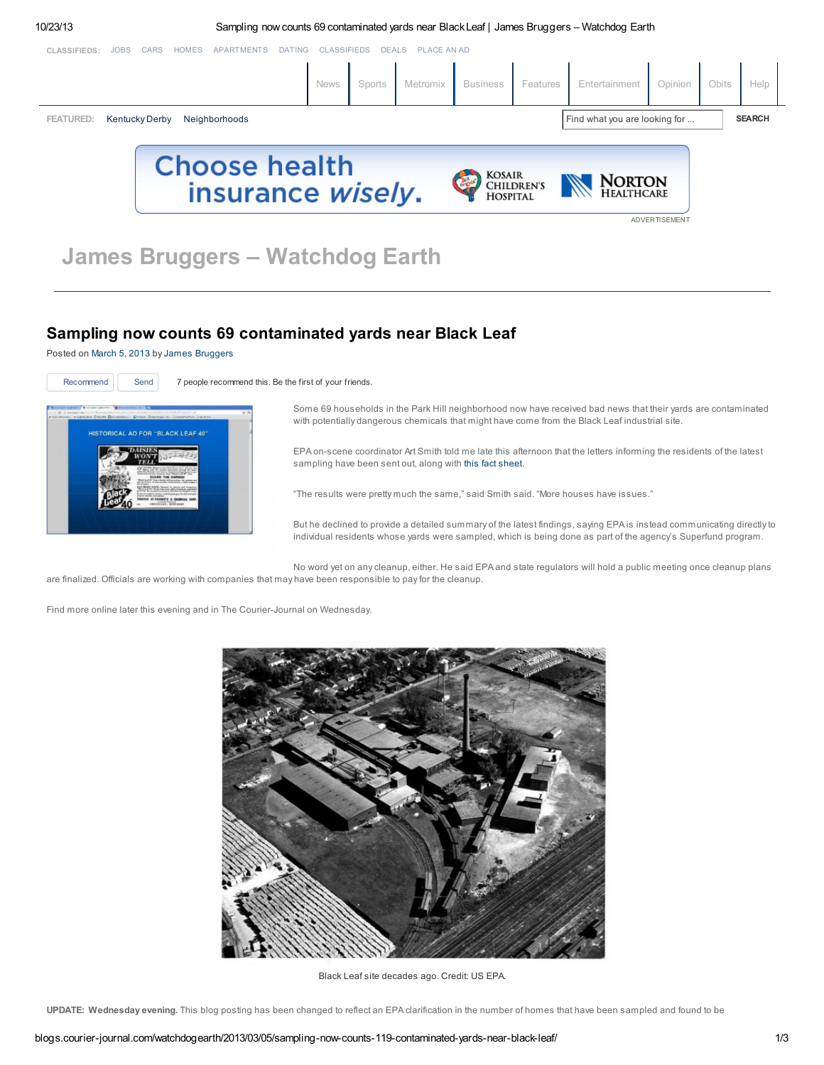<span id="page-0-0"></span>

# Sampling now counts 69 contaminated yards near Black Leaf

Posted on [March](http://blogs.courier-journal.com/watchdogearth/2013/03/05/sampling-now-counts-119-contaminated-yards-near-black-leaf/) 5, 2013 by James [Bruggers](http://blogs.courier-journal.com/watchdogearth/author/jbruggers/)



Recommend | Send 7 people recommend this. Be the first of your friends.

Some 69 households in the Park Hill neighborhood now have received bad news that their yards are contaminated with potentially dangerous chemicals that might have come from the Black Leaf industrial site.

EPA on-scene coordinator Art Smith told me late this afternoon that the letters informing the residents of the latest sampling have been sent out, along with this fact [sheet](http://blogs.courier-journal.com/watchdogearth/files/2013/03/Black-Leaf-Chemical-Fact-Sheet-No.-4_v2.pdf).

"The results were pretty much the same," said Smith said. "More houses have issues."

But he declined to provide a detailed summary of the latest findings, saying EPA is instead communicating directly to individual residents whose yards were sampled, which is being done as part of the agency's Superfund program.

No word yet on any cleanup, either. He said EPA and state regulators will hold a public meeting once cleanup plans are finalized. Officials are working with companies that may have been responsible to pay for the cleanup.

Find more online later this evening and in The Courier-Journal on Wednesday.



Black Leaf site decades ago. Credit: US EPA.

UPDATE: Wednesday evening. This blog posting has been changed to reflect an EPA clarification in the number of homes that have been sampled and found to be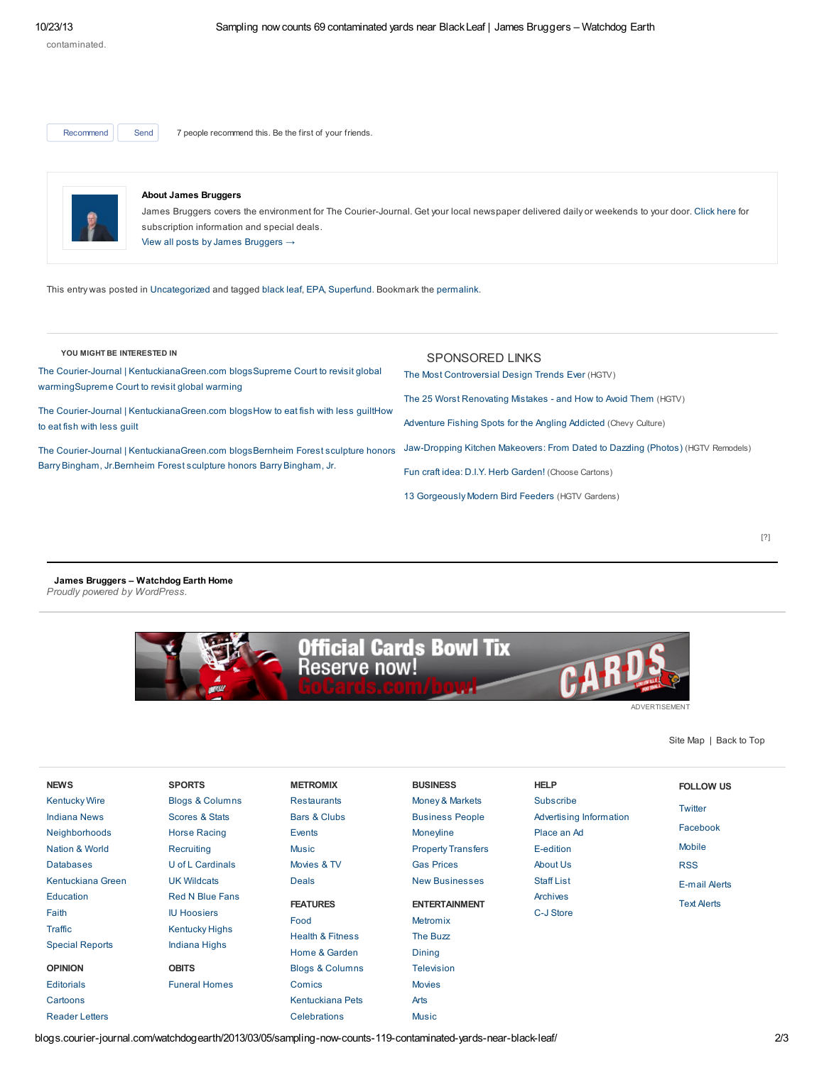Recommend | Send 7 people recommend this. Be the first of your friends.



### About James Bruggers

James Bruggers covers the environment for The Courier-Journal. Get your local newspaper delivered daily or weekends to your door. [Click](http://www.courier-journal.com/subscribe) here for subscription information and special deals. View all posts by James [Bruggers](http://blogs.courier-journal.com/watchdogearth/author/jbruggers/) →

This entry was posted in [Uncategorized](http://blogs.courier-journal.com/watchdogearth/category/uncategorized/) and tagged [black](http://blogs.courier-journal.com/watchdogearth/tag/black-leaf/) leaf, [EPA,](http://blogs.courier-journal.com/watchdogearth/tag/epa/) [Superfund](http://blogs.courier-journal.com/watchdogearth/tag/superfund/). Bookmark the [permalink.](http://blogs.courier-journal.com/watchdogearth/2013/03/05/sampling-now-counts-119-contaminated-yards-near-black-leaf/)

## YOU MIGHT BE INTERESTED IN

The Courier-Journal | [KentuckianaGreen.com](http://blogs.courier-journal.com/watchdogearth/2013/10/15/supreme-court-to-revisit-global-warming/) blogsSupreme Court to revisit global warmingSupreme Court to revisit global warming

The Courier-Journal | [KentuckianaGreen.com](http://blogs.courier-journal.com/watchdogearth/2013/10/14/how-to-eat-fish-with-less-guilt/) blogsHow to eat fish with less guiltHow to eat fish with less guilt

The Courier-Journal | [KentuckianaGreen.com](http://blogs.courier-journal.com/watchdogearth/2013/10/11/bernheim-forest-sculpture-honors-barry-bingham-jr/) blogsBernheim Forest sculpture honors Barry Bingham, Jr.Bernheim Forest sculpture honors Barry Bingham, Jr.

| SPONSORED LINKS<br>The Most Controversial Design Trends Ever (HGTV)             |
|---------------------------------------------------------------------------------|
| The 25 Worst Renovating Mistakes - and How to Avoid Them (HGTV)                 |
| Adventure Fishing Spots for the Angling Addicted (Chevy Culture)                |
| Jaw-Dropping Kitchen Makeovers: From Dated to Dazzling (Photos) (HGTV Remodels) |
| Fun craft idea: D.I.Y. Herb Garden! (Choose Cartons)                            |

13 [Gorgeously](http://www.hgtvgardens.com/animals-and-wildlife/13-bird-feeders-with-serious-wow-factor) Modern Bird Feeders (HGTV Gardens)

### James Bruggers – [Watchdog](http://blogs.courier-journal.com/watchdogearth/) Earth Home Proudly powered by [WordPress.](http://wordpress.org/)



ADVERTISEMENT

Site [Map](http://www.courier-journal.com/section/sitemaphtml) | [Back](#page-0-0) to Top

| <b>NEWS</b>            | <b>SPORTS</b>              | <b>METROMIX</b>             | <b>BUSINESS</b>           | <b>HELP</b>             | <b>FOLLOW US</b>     |
|------------------------|----------------------------|-----------------------------|---------------------------|-------------------------|----------------------|
| <b>Kentucky Wire</b>   | <b>Blogs &amp; Columns</b> | <b>Restaurants</b>          | Money & Markets           | Subscribe               | Twitter              |
| <b>Indiana News</b>    | Scores & Stats             | Bars & Clubs                | <b>Business People</b>    | Advertising Information |                      |
| Neighborhoods          | <b>Horse Racing</b>        | <b>Events</b>               | <b>Moneyline</b>          | Place an Ad             | Facebook             |
| Nation & World         | Recruiting                 | <b>Music</b>                | <b>Property Transfers</b> | E-edition               | <b>Mobile</b>        |
| <b>Databases</b>       | U of L Cardinals           | Movies & TV                 | <b>Gas Prices</b>         | About Us                | <b>RSS</b>           |
| Kentuckiana Green      | <b>UK Wildcats</b>         | <b>Deals</b>                | <b>New Businesses</b>     | <b>Staff List</b>       | <b>E-mail Alerts</b> |
| Education              | <b>Red N Blue Fans</b>     | <b>FEATURES</b>             | <b>ENTERTAINMENT</b>      | Archives                | <b>Text Alerts</b>   |
| Faith                  | <b>IU Hoosiers</b>         |                             |                           | C-J Store               |                      |
| Traffic                | <b>Kentucky Highs</b>      | Food                        | Metromix                  |                         |                      |
| <b>Special Reports</b> | Indiana Highs              | <b>Health &amp; Fitness</b> | The Buzz                  |                         |                      |
|                        |                            | Home & Garden               | <b>Dining</b>             |                         |                      |
| <b>OPINION</b>         | <b>OBITS</b>               | <b>Blogs &amp; Columns</b>  | <b>Television</b>         |                         |                      |
| <b>Editorials</b>      | <b>Funeral Homes</b>       | Comics                      | <b>Movies</b>             |                         |                      |
| Cartoons               |                            | Kentuckiana Pets            | Arts                      |                         |                      |
| <b>Reader Letters</b>  |                            | Celebrations                | <b>Music</b>              |                         |                      |

blogs.courier-journal.com/watchdogearth/2013/03/05/sampling-now-counts-119-contaminated-yards-near-black-leaf/ 2/3